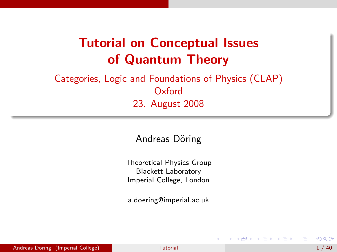# Tutorial on Conceptual Issues of Quantum Theory

#### Categories, Logic and Foundations of Physics (CLAP) **Oxford** 23. August 2008

#### Andreas Döring

Theoretical Physics Group Blackett Laboratory Imperial College, London

a.doering@imperial.ac.uk

 $\triangleright$  and  $\exists$   $\triangleright$  and  $\exists$   $\triangleright$ 

<span id="page-0-0"></span> $QQ$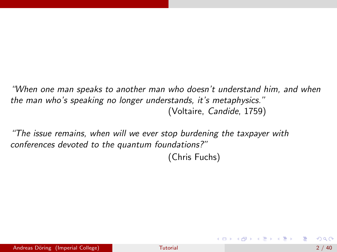"When one man speaks to another man who doesn't understand him, and when the man who's speaking no longer understands, it's metaphysics." (Voltaire, Candide, 1759)

"The issue remains, when will we ever stop burdening the taxpayer with conferences devoted to the quantum foundations?"

(Chris Fuchs)

イロメ イ部メ イヨメ イヨメー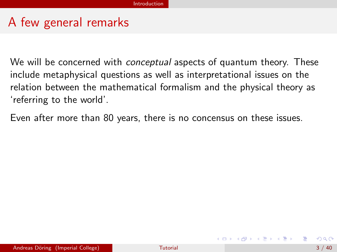#### A few general remarks

We will be concerned with *conceptual* aspects of quantum theory. These include metaphysical questions as well as interpretational issues on the relation between the mathematical formalism and the physical theory as 'referring to the world'.

Even after more than 80 years, there is no concensus on these issues.

メタメ メミメ メミメー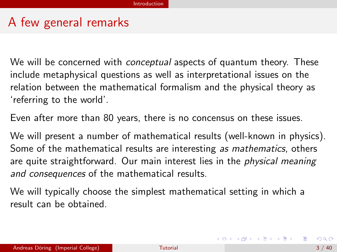#### A few general remarks

We will be concerned with *conceptual* aspects of quantum theory. These include metaphysical questions as well as interpretational issues on the relation between the mathematical formalism and the physical theory as 'referring to the world'.

Even after more than 80 years, there is no concensus on these issues.

We will present a number of mathematical results (well-known in physics). Some of the mathematical results are interesting as mathematics, others are quite straightforward. Our main interest lies in the *physical meaning* and consequences of the mathematical results.

We will typically choose the simplest mathematical setting in which a result can be obtained.

イロト (御) (道) (道) (道) 三重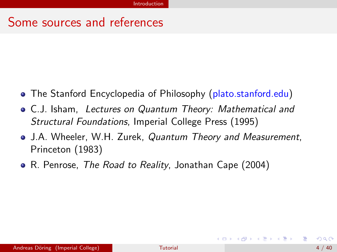#### Some sources and references

- The Stanford Encyclopedia of Philosophy (plato.stanford.edu)
- C.J. Isham, Lectures on Quantum Theory: Mathematical and Structural Foundations, Imperial College Press (1995)
- J.A. Wheeler, W.H. Zurek, *Quantum Theory and Measurement*, Princeton (1983)
- R. Penrose, The Road to Reality, Jonathan Cape (2004)

<span id="page-4-0"></span>医毛囊 医牙骨下的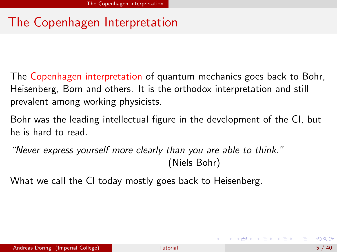# The Copenhagen Interpretation

The Copenhagen interpretation of quantum mechanics goes back to Bohr, Heisenberg, Born and others. It is the orthodox interpretation and still prevalent among working physicists.

Bohr was the leading intellectual figure in the development of the CI, but he is hard to read.

"Never express yourself more clearly than you are able to think." (Niels Bohr)

What we call the CI today mostly goes back to Heisenberg.

<span id="page-5-0"></span>K ロ ▶ K 個 ▶ K 君 ▶ K 君 ▶ ...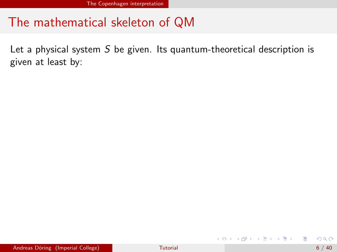Let a physical system  $S$  be given. Its quantum-theoretical description is given at least by:

画

メロメ メ都 メメ きょくきょ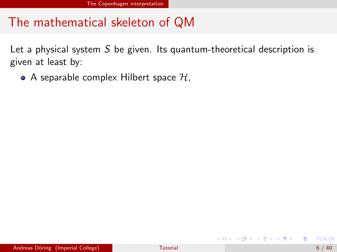Let a physical system  $S$  be given. Its quantum-theoretical description is given at least by:

• A separable complex Hilbert space  $H$ ,

 $\sqrt{m}$   $\rightarrow$   $\sqrt{m}$   $\rightarrow$   $\sqrt{m}$   $\rightarrow$ 

4 0 8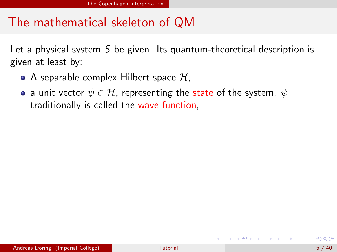Let a physical system  $S$  be given. Its quantum-theoretical description is given at least by:

- A separable complex Hilbert space  $H$ ,
- a unit vector  $\psi \in \mathcal{H}$ , representing the state of the system.  $\psi$ traditionally is called the wave function,

イ何 ト イヨ ト イヨ トー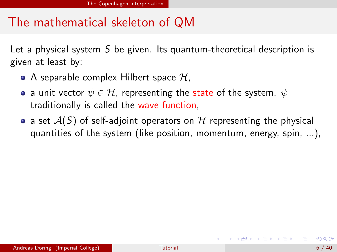Let a physical system  $S$  be given. Its quantum-theoretical description is given at least by:

- A separable complex Hilbert space  $\mathcal{H}$ ,
- a unit vector  $\psi \in \mathcal{H}$ , representing the state of the system.  $\psi$ traditionally is called the wave function,
- a set  $A(S)$  of self-adjoint operators on H representing the physical quantities of the system (like position, momentum, energy, spin, ...),

K ロンス 御 > ス ヨ > ス ヨ > 一 ヨ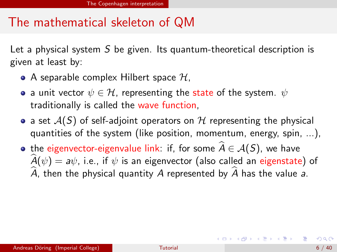Let a physical system  $S$  be given. Its quantum-theoretical description is given at least by:

- A separable complex Hilbert space  $\mathcal{H}$ ,
- a unit vector  $\psi \in \mathcal{H}$ , representing the state of the system.  $\psi$ traditionally is called the wave function,
- a set  $A(S)$  of self-adjoint operators on H representing the physical quantities of the system (like position, momentum, energy, spin, ...),
- the eigenvector-eigenvalue link: if, for some  $\hat{A} \in \mathcal{A}(S)$ , we have  $\hat{A}(\psi) = a\psi$ , i.e., if  $\psi$  is an eigenvector (also called an eigenstate) of  $\hat{A}$ , then the physical quantity A represented by  $\hat{A}$  has the value a.

K ロンス 御 > ス ヨ > ス ヨ > 一 ヨ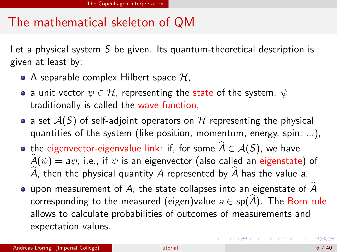Let a physical system  $S$  be given. Its quantum-theoretical description is given at least by:

- A separable complex Hilbert space  $H$ ,
- a unit vector  $\psi \in \mathcal{H}$ , representing the state of the system.  $\psi$ traditionally is called the wave function,
- a set  $A(S)$  of self-adjoint operators on H representing the physical quantities of the system (like position, momentum, energy, spin, ...),
- the eigenvector-eigenvalue link: if, for some  $\widehat{A} \in \mathcal{A}(S)$ , we have  $\widehat{A}(\psi) = a\psi$ , i.e., if  $\psi$  is an eigenvector (also called an eigenstate) of A, then the physical quantity A represented by  $\hat{A}$  has the value a.
- upon measurement of A, the state collapses into an eigenstate of  $\hat{A}$ corresponding to the measured (eigen)value  $a \in sp(A)$ . The Born rule allows to calculate probabilities of outcomes of measurements and expectation values.

イロン イ部ン イヨン イヨン 一番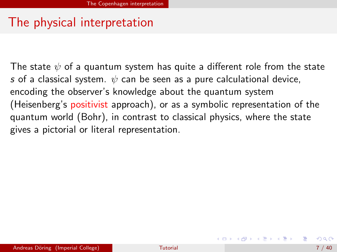# The physical interpretation

The state  $\psi$  of a quantum system has quite a different role from the state s of a classical system.  $\psi$  can be seen as a pure calculational device, encoding the observer's knowledge about the quantum system (Heisenberg's positivist approach), or as a symbolic representation of the quantum world (Bohr), in contrast to classical physics, where the state gives a pictorial or literal representation.

イロメ イ部メ イヨメ イヨメー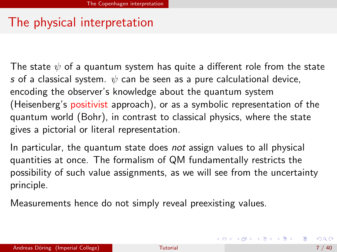# The physical interpretation

The state  $\psi$  of a quantum system has quite a different role from the state s of a classical system.  $\psi$  can be seen as a pure calculational device, encoding the observer's knowledge about the quantum system (Heisenberg's positivist approach), or as a symbolic representation of the quantum world (Bohr), in contrast to classical physics, where the state gives a pictorial or literal representation.

In particular, the quantum state does not assign values to all physical quantities at once. The formalism of QM fundamentally restricts the possibility of such value assignments, as we will see from the uncertainty principle.

Measurements hence do not simply reveal preexisting values.

<span id="page-13-0"></span>イロン イ部ン イヨン イヨン 一番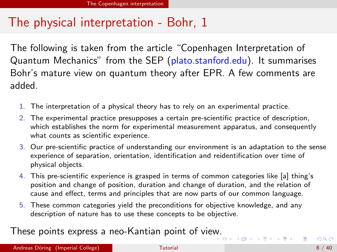#### The physical interpretation - Bohr, 1

The following is taken from the article "Copenhagen Interpretation of Quantum Mechanics" from the SEP (plato.stanford.edu). It summarises Bohr's mature view on quantum theory after EPR. A few comments are added.

- 1. The interpretation of a physical theory has to rely on an experimental practice.
- 2. The experimental practice presupposes a certain pre-scientific practice of description, which establishes the norm for experimental measurement apparatus, and consequently what counts as scientific experience.
- 3. Our pre-scientific practice of understanding our environment is an adaptation to the sense experience of separation, orientation, identification and reidentification over time of physical objects.
- 4. This pre-scientific experience is grasped in terms of common categories like [a] thing's position and change of position, duration and change of duration, and the relation of cause and effect, terms and principles that are now parts of our common language.
- 5. These common categories yield the preconditions for objective knowledge, and any description of nature has to use these concepts to be objective.

These points express a neo-Kantian point of vie[w.](#page-13-0)

 $QQ$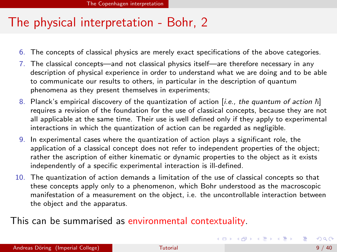# The physical interpretation - Bohr, 2

- 6. The concepts of classical physics are merely exact specifications of the above categories.
- 7. The classical concepts—and not classical physics itself—are therefore necessary in any description of physical experience in order to understand what we are doing and to be able to communicate our results to others, in particular in the description of quantum phenomena as they present themselves in experiments;
- 8. Planck's empirical discovery of the quantization of action [i.e., the quantum of action  $\hbar$ ] requires a revision of the foundation for the use of classical concepts, because they are not all applicable at the same time. Their use is well defined only if they apply to experimental interactions in which the quantization of action can be regarded as negligible.
- 9. In experimental cases where the quantization of action plays a significant role, the application of a classical concept does not refer to independent properties of the object; rather the ascription of either kinematic or dynamic properties to the object as it exists independently of a specific experimental interaction is ill-defined.
- 10. The quantization of action demands a limitation of the use of classical concepts so that these concepts apply only to a phenomenon, which Bohr understood as the macroscopic manifestation of a measurement on the object, i.e. the uncontrollable interaction between the object and the apparatus.

#### This can be summarised as environmental contextuality.

<span id="page-15-0"></span> $\equiv$ 

イロメ イ部メ イ君メ イ君メート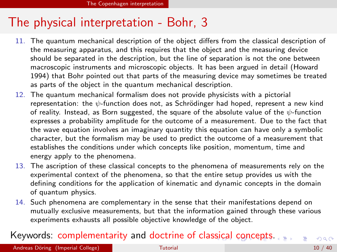# The physical interpretation - Bohr, 3

- 11. The quantum mechanical description of the object differs from the classical description of the measuring apparatus, and this requires that the object and the measuring device should be separated in the description, but the line of separation is not the one between macroscopic instruments and microscopic objects. It has been argued in detail (Howard 1994) that Bohr pointed out that parts of the measuring device may sometimes be treated as parts of the object in the quantum mechanical description.
- 12. The quantum mechanical formalism does not provide physicists with a pictorial representation: the  $\psi$ -function does not, as Schrödinger had hoped, represent a new kind of reality. Instead, as Born suggested, the square of the absolute value of the  $\psi$ -function expresses a probability amplitude for the outcome of a measurement. Due to the fact that the wave equation involves an imaginary quantity this equation can have only a symbolic character, but the formalism may be used to predict the outcome of a measurement that establishes the conditions under which concepts like position, momentum, time and energy apply to the phenomena.
- 13. The ascription of these classical concepts to the phenomena of measurements rely on the experimental context of the phenomena, so that the entire setup provides us with the defining conditions for the application of kinematic and dynamic concepts in the domain of quantum physics.
- <span id="page-16-0"></span>14. Such phenomena are complementary in the sense that their manifestations depend on mutually exclusive measurements, but that the information gained through these various experiments exhausts all possible objective knowledge of the object.

#### Keywords: complementarity and doctrine of clas[sic](#page-15-0)[al](#page-17-0) [c](#page-15-0)[on](#page-16-0)[c](#page-17-0)[e](#page-4-0)[p](#page-5-0)[t](#page-29-0)[s.](#page-30-0)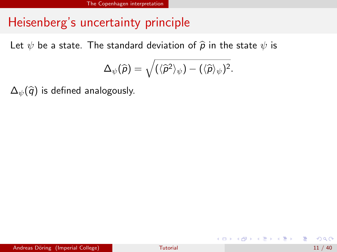Let  $\psi$  be a state. The standard deviation of  $\widehat{\boldsymbol{p}}$  in the state  $\psi$  is

$$
\Delta_{\psi}(\widehat{\rho})=\sqrt{(\langle \widehat{\rho}^2\rangle_{\psi})-(\langle \widehat{\rho}\rangle_{\psi})^2}.
$$

 $\Delta_{\psi}(\hat{q})$  is defined analogously.

<span id="page-17-0"></span>画

イロメ イ部メ イ君メ イ君メー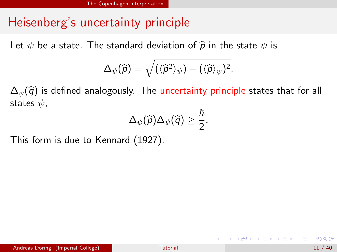Let  $\psi$  be a state. The standard deviation of  $\widehat{p}$  in the state  $\psi$  is

$$
\Delta_{\psi}(\widehat{\rho})=\sqrt{(\langle \widehat{\rho}^2\rangle_{\psi})-(\langle \widehat{\rho}\rangle_{\psi})^2}.
$$

 $\Delta_{\psi}(\widehat{q})$  is defined analogously. The uncertainty principle states that for all states  $\psi$ ,

$$
\Delta_{\psi}(\widehat{\rho})\Delta_{\psi}(\widehat{q})\geq \frac{\hbar}{2}.
$$

This form is due to Kennard (1927).

イロメ イ部メ イヨメ イヨメー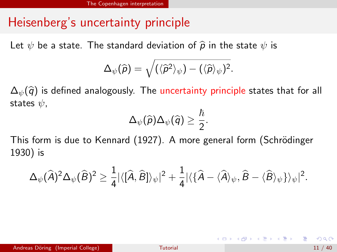Let  $\psi$  be a state. The standard deviation of  $\widehat{p}$  in the state  $\psi$  is

$$
\Delta_{\psi}(\widehat{\rho})=\sqrt{(\langle \widehat{\rho}^2\rangle_{\psi})-(\langle \widehat{\rho}\rangle_{\psi})^2}.
$$

 $\Delta_{\psi}(\widehat{q})$  is defined analogously. The uncertainty principle states that for all states  $\psi$ ,

$$
\Delta_{\psi}(\widehat{\rho})\Delta_{\psi}(\widehat{q})\geq \frac{\hbar}{2}.
$$

This form is due to Kennard (1927). A more general form (Schrödinger 1930) is

$$
\Delta_{\psi}(\widehat{A})^2 \Delta_{\psi}(\widehat{B})^2 \geq \frac{1}{4} |\langle [\widehat{A}, \widehat{B}] \rangle_{\psi}|^2 + \frac{1}{4} |\langle \{\widehat{A} - \langle \widehat{A} \rangle_{\psi}, \widehat{B} - \langle \widehat{B} \rangle_{\psi} \} \rangle_{\psi}|^2.
$$

 $\Omega$ 

イロメ イ部メ イ君メ イ君メー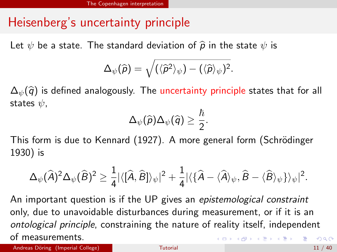Let  $\psi$  be a state. The standard deviation of  $\widehat{\boldsymbol{p}}$  in the state  $\psi$  is

$$
\Delta_{\psi}(\widehat{\rho})=\sqrt{(\langle \widehat{\rho}^2\rangle_{\psi})-(\langle \widehat{\rho}\rangle_{\psi})^2}.
$$

 $\Delta_{\psi}(\widehat{q})$  is defined analogously. The uncertainty principle states that for all states  $\psi$ ,

$$
\Delta_{\psi}(\widehat{\rho})\Delta_{\psi}(\widehat{q})\geq \frac{\hbar}{2}.
$$

This form is due to Kennard (1927). A more general form (Schrödinger 1930) is

$$
\Delta_{\psi}(\widehat{A})^2 \Delta_{\psi}(\widehat{B})^2 \geq \frac{1}{4} |\langle [\widehat{A}, \widehat{B}] \rangle_{\psi}|^2 + \frac{1}{4} |\langle {\{\widehat{A} - \langle \widehat{A} \rangle_{\psi}, \widehat{B} - \langle \widehat{B} \rangle_{\psi}} \} \rangle_{\psi}|^2.
$$

An important question is if the UP gives an *epistemological constraint* only, due to unavoidable disturbances during measurement, or if it is an ontological principle, constraining the nature of reality itself, independent of measurements. K ロ ▶ K @ ▶ K 할 ▶ K 할 ▶ ... 할 → 9 Q @

Andreas Döring (Imperial College) and the College [Tutorial](#page-0-0) 11 / 40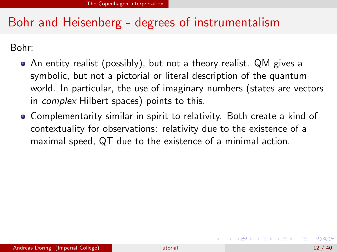# Bohr and Heisenberg - degrees of instrumentalism

Bohr:

- An entity realist (possibly), but not a theory realist. QM gives a symbolic, but not a pictorial or literal description of the quantum world. In particular, the use of imaginary numbers (states are vectors in complex Hilbert spaces) points to this.
- Complementarity similar in spirit to relativity. Both create a kind of contextuality for observations: relativity due to the existence of a maximal speed, QT due to the existence of a minimal action.

イロメ イ部メ イ君メ イ君メー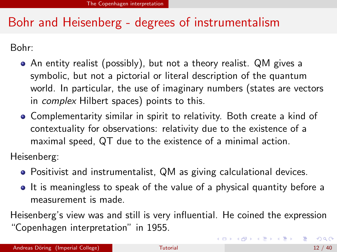# Bohr and Heisenberg - degrees of instrumentalism

Bohr:

- An entity realist (possibly), but not a theory realist. QM gives a symbolic, but not a pictorial or literal description of the quantum world. In particular, the use of imaginary numbers (states are vectors in complex Hilbert spaces) points to this.
- Complementarity similar in spirit to relativity. Both create a kind of contextuality for observations: relativity due to the existence of a maximal speed, QT due to the existence of a minimal action.

Heisenberg:

- Positivist and instrumentalist, QM as giving calculational devices.
- It is meaningless to speak of the value of a physical quantity before a measurement is made.

Heisenberg's view was and still is very influential. He coined the expression "Copenhagen interpretation" in 1955.

K ロ ▶ K 個 ▶ K 로 ▶ K 로 ▶ 『로 』 K 9 Q @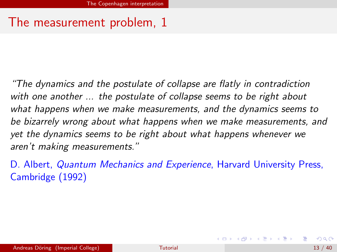"The dynamics and the postulate of collapse are flatly in contradiction with one another ... the postulate of collapse seems to be right about what happens when we make measurements, and the dynamics seems to be bizarrely wrong about what happens when we make measurements, and yet the dynamics seems to be right about what happens whenever we aren't making measurements."

D. Albert, *Quantum Mechanics and Experience*, Harvard University Press, Cambridge (1992)

**K ロ ▶ | K 母 ▶ | K ヨ ▶ | K ヨ ▶ |**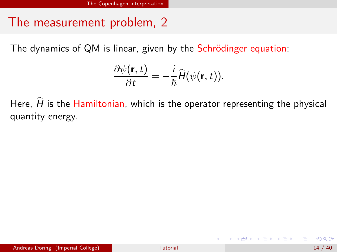The dynamics of QM is linear, given by the Schrödinger equation:

$$
\frac{\partial \psi(\mathbf{r},t)}{\partial t} = -\frac{i}{\hbar} \widehat{H}(\psi(\mathbf{r},t)).
$$

Here,  $\hat{H}$  is the Hamiltonian, which is the operator representing the physical quantity energy.

**イロト イ母ト イヨト イヨト**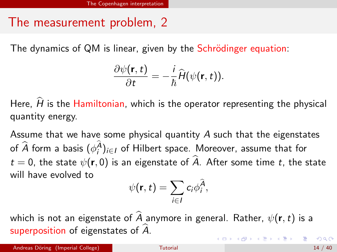The dynamics of QM is linear, given by the Schrödinger equation:

$$
\frac{\partial \psi(\mathbf{r},t)}{\partial t} = -\frac{i}{\hbar} \widehat{H}(\psi(\mathbf{r},t)).
$$

Here.  $\widehat{H}$  is the Hamiltonian, which is the operator representing the physical quantity energy.

Assume that we have some physical quantity A such that the eigenstates of  $\widehat{A}$  form a basis  $(\phi_i^A)_{i\in I}$  of Hilbert space. Moreover, assume that for  $t = 0$ , the state  $\psi(\mathbf{r}, 0)$  is an eigenstate of  $\widehat{A}$ . After some time t, the state will have evolved to

$$
\psi(\mathbf{r},t)=\sum_{i\in I}c_i\phi_i^{\hat{A}},
$$

which is not an eigenstate of  $\widehat{A}$  anymore in general. Rather,  $\psi(\mathbf{r},t)$  is a superposition of eigenstates of  $\hat{A}$ .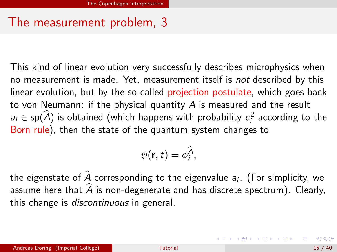This kind of linear evolution very successfully describes microphysics when no measurement is made. Yet, measurement itself is not described by this linear evolution, but by the so-called projection postulate, which goes back to von Neumann: if the physical quantity  $\ddot{A}$  is measured and the result  $a_i \in sp(A)$  is obtained (which happens with probability  $c_i^2$  according to the Born rule), then the state of the quantum system changes to

$$
\psi(\mathbf{r},t)=\phi_i^{\widehat{A}},
$$

the eigenstate of A corresponding to the eigenvalue  $a_i$ . (For simplicity, we assume here that  $\widehat{A}$  is non-degenerate and has discrete spectrum). Clearly, this change is discontinuous in general.

イロト 不優 ト 不重 ト 不重 トー 重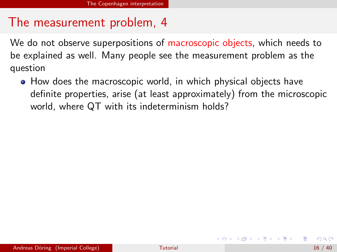We do not observe superpositions of macroscopic objects, which needs to be explained as well. Many people see the measurement problem as the question

• How does the macroscopic world, in which physical objects have definite properties, arise (at least approximately) from the microscopic world, where QT with its indeterminism holds?

イロト イ母 トイヨ トイヨ トー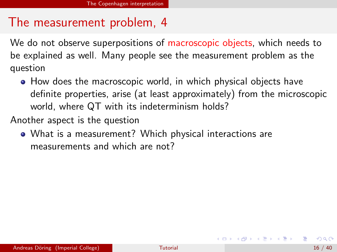We do not observe superpositions of macroscopic objects, which needs to be explained as well. Many people see the measurement problem as the question

• How does the macroscopic world, in which physical objects have definite properties, arise (at least approximately) from the microscopic world, where QT with its indeterminism holds?

Another aspect is the question

What is a measurement? Which physical interactions are measurements and which are not?

K ロ ▶ K 個 ▶ K 결 ▶ K 결 ▶ ○ 결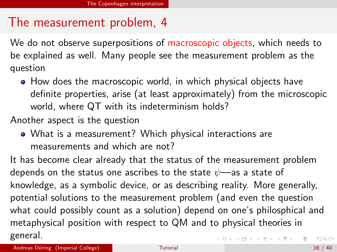We do not observe superpositions of macroscopic objects, which needs to be explained as well. Many people see the measurement problem as the question

• How does the macroscopic world, in which physical objects have definite properties, arise (at least approximately) from the microscopic world, where QT with its indeterminism holds?

Another aspect is the question

<span id="page-29-0"></span>What is a measurement? Which physical interactions are measurements and which are not?

It has become clear already that the status of the measurement problem depends on the status one ascribes to the state  $\psi$ —as a state of knowledge, as a symbolic device, or as describing reality. More generally, potential solutions to the measurement problem (and even the question what could possibly count as a solution) depend on one's philosphical and metaphysical position with respect to QM and to physical theories in general. K ロ ▶ K 個 ▶ K 로 ▶ K 로 ▶ 『로 』 K 9 Q @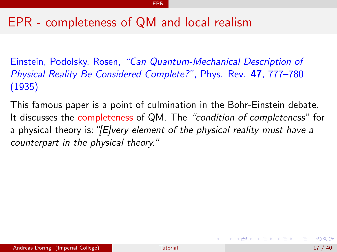#### EPR

#### EPR - completeness of QM and local realism

Einstein, Podolsky, Rosen, "Can Quantum-Mechanical Description of Physical Reality Be Considered Complete?", Phys. Rev. 47, 777–780 (1935)

This famous paper is a point of culmination in the Bohr-Einstein debate. It discusses the completeness of QM. The "condition of completeness" for a physical theory is: "[E]very element of the physical reality must have a counterpart in the physical theory."

<span id="page-30-0"></span>イロト イ母 トイヨ トイヨ トー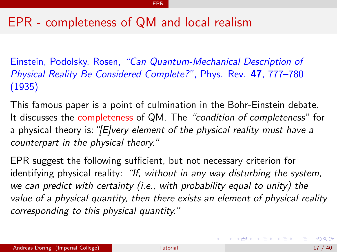#### EPR - completeness of QM and local realism

Einstein, Podolsky, Rosen, "Can Quantum-Mechanical Description of Physical Reality Be Considered Complete?", Phys. Rev. 47, 777–780 (1935)

This famous paper is a point of culmination in the Bohr-Einstein debate. It discusses the completeness of QM. The "condition of completeness" for a physical theory is: "[E]very element of the physical reality must have a counterpart in the physical theory."

EPR suggest the following sufficient, but not necessary criterion for identifying physical reality: "If, without in any way disturbing the system, we can predict with certainty (i.e., with probability equal to unity) the value of a physical quantity, then there exists an element of physical reality corresponding to this physical quantity."

K ロ X K @ X K 경 X K 경 X 시 경 …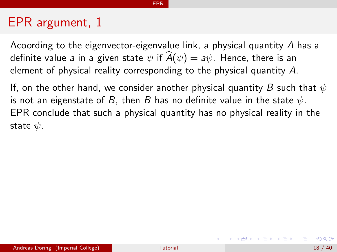Acoording to the eigenvector-eigenvalue link, a physical quantity A has a definite value a in a given state  $\psi$  if  $\hat{A}(\psi) = a\psi$ . Hence, there is an element of physical reality corresponding to the physical quantity A.

EPR

If, on the other hand, we consider another physical quantity B such that  $\psi$ is not an eigenstate of B, then B has no definite value in the state  $\psi$ . EPR conclude that such a physical quantity has no physical reality in the state  $\psi$ .

**K ロ ▶ | K 母 ▶ | K ヨ ▶ | K ヨ ▶ |**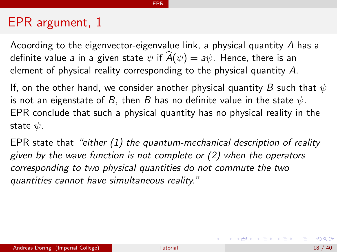Acoording to the eigenvector-eigenvalue link, a physical quantity A has a definite value a in a given state  $\psi$  if  $\hat{A}(\psi) = a\psi$ . Hence, there is an element of physical reality corresponding to the physical quantity A.

EPR

If, on the other hand, we consider another physical quantity B such that  $\psi$ is not an eigenstate of B, then B has no definite value in the state  $\psi$ . EPR conclude that such a physical quantity has no physical reality in the state  $\psi$ .

EPR state that "either (1) the quantum-mechanical description of reality given by the wave function is not complete or (2) when the operators corresponding to two physical quantities do not commute the two quantities cannot have simultaneous reality."

K ロ X K @ X K 경 X K 경 X 시 경 …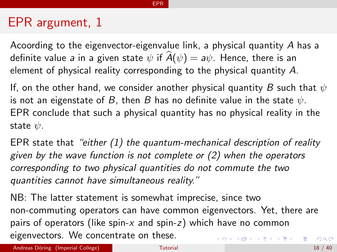Acoording to the eigenvector-eigenvalue link, a physical quantity A has a definite value a in a given state  $\psi$  if  $\hat{A}(\psi) = a\psi$ . Hence, there is an element of physical reality corresponding to the physical quantity A.

EPR

If, on the other hand, we consider another physical quantity B such that  $\psi$ is not an eigenstate of B, then B has no definite value in the state  $\psi$ . EPR conclude that such a physical quantity has no physical reality in the state  $\psi$ .

EPR state that "either  $(1)$  the quantum-mechanical description of reality given by the wave function is not complete or (2) when the operators corresponding to two physical quantities do not commute the two quantities cannot have simultaneous reality."

NB: The latter statement is somewhat imprecise, since two non-commuting operators can have common eigenvectors. Yet, there are pairs of operators (like spin- $x$  and spin- $z$ ) which have no common eigenvectors. We concentrate on these. K ロ ▶ K @ ▶ K 할 > K 할 > → 할 → 9 Q @

Andreas Döring (Imperial College) and the College [Tutorial](#page-0-0) 18 / 40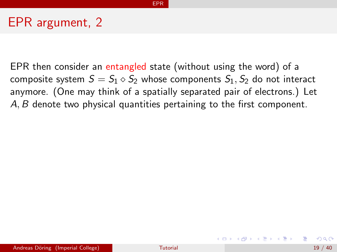EPR then consider an entangled state (without using the word) of a composite system  $S = S_1 \diamond S_2$  whose components  $S_1$ ,  $S_2$  do not interact anymore. (One may think of a spatially separated pair of electrons.) Let A, B denote two physical quantities pertaining to the first component.

EPR

イロト イ母 トイヨ トイヨ トー

 $\Omega$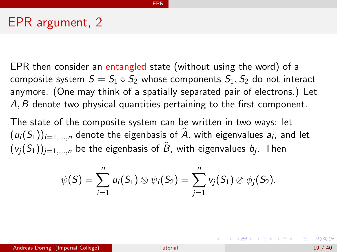EPR then consider an entangled state (without using the word) of a composite system  $S = S_1 \diamond S_2$  whose components  $S_1$ ,  $S_2$  do not interact anymore. (One may think of a spatially separated pair of electrons.) Let A, B denote two physical quantities pertaining to the first component.

EPR

The state of the composite system can be written in two ways: let  $(u_i(S_1))_{i=1,\dots,n}$  denote the eigenbasis of A, with eigenvalues  $a_i$ , and let  $(v_j(S_1))_{j=1,...,n}$  be the eigenbasis of  $B$ , with eigenvalues  $b_j$ . Then

$$
\psi(S)=\sum_{i=1}^n u_i(S_1)\otimes \psi_i(S_2)=\sum_{j=1}^n v_j(S_1)\otimes \phi_j(S_2).
$$

KONKAPIK KENYEN E

 $\Omega$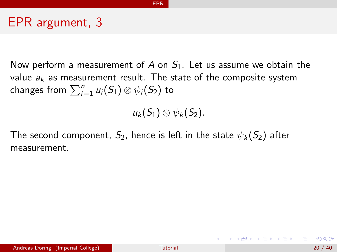Now perform a measurement of A on  $S<sub>1</sub>$ . Let us assume we obtain the value  $a_k$  as measurement result. The state of the composite system changes from  $\sum_{i=1}^n u_i(\mathcal{S}_1) \otimes \psi_i(\mathcal{S}_2)$  to

EPR

 $u_k(S_1) \otimes \psi_k(S_2)$ .

The second component,  $S_2$ , hence is left in the state  $\psi_k(S_2)$  after measurement.

イロト 不優 ト 不差 ト 不差 トー 差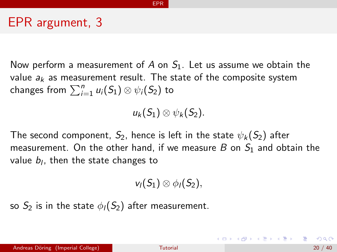Now perform a measurement of A on  $S<sub>1</sub>$ . Let us assume we obtain the value  $a_k$  as measurement result. The state of the composite system changes from  $\sum_{i=1}^n u_i(\mathcal{S}_1) \otimes \psi_i(\mathcal{S}_2)$  to

EPR

 $u_k(S_1) \otimes \psi_k(S_2)$ .

The second component,  $S_2$ , hence is left in the state  $\psi_k(S_2)$  after measurement. On the other hand, if we measure  $B$  on  $S_1$  and obtain the value  $b_l$ , then the state changes to

$$
\mathsf{v}_1(S_1)\otimes\mathsf{\phi}_1(S_2),
$$

so  $S_2$  is in the state  $\phi_I(S_2)$  after measurement.

イロト イ母 トイミト イミト ニヨー りんぴ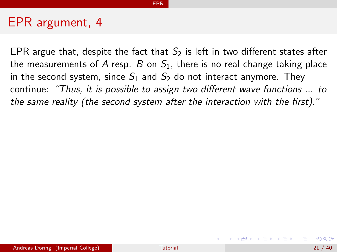EPR argue that, despite the fact that  $S_2$  is left in two different states after the measurements of A resp. B on  $S_1$ , there is no real change taking place in the second system, since  $S_1$  and  $S_2$  do not interact anymore. They continue: "Thus, it is possible to assign two different wave functions ... to the same reality (the second system after the interaction with the first)."

EPR

イロト イ押ト イヨト イヨト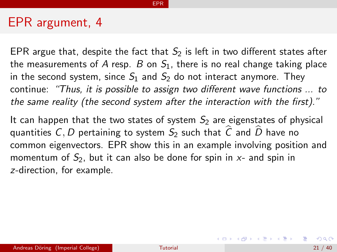EPR argue that, despite the fact that  $S_2$  is left in two different states after the measurements of A resp. B on  $S_1$ , there is no real change taking place in the second system, since  $S_1$  and  $S_2$  do not interact anymore. They continue: "Thus, it is possible to assign two different wave functions ... to the same reality (the second system after the interaction with the first)."

EPR

It can happen that the two states of system  $S<sub>2</sub>$  are eigenstates of physical quantities C, D pertaining to system  $S_2$  such that  $\widehat{C}$  and  $\widehat{D}$  have no common eigenvectors. EPR show this in an example involving position and momentum of  $S_2$ , but it can also be done for spin in  $x$ - and spin in z-direction, for example.

イロメ イ部メ イ君メ イ君メート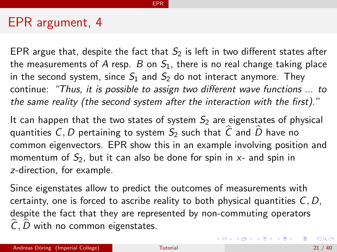EPR argue that, despite the fact that  $S_2$  is left in two different states after the measurements of A resp. B on  $S_1$ , there is no real change taking place in the second system, since  $S_1$  and  $S_2$  do not interact anymore. They continue: "Thus, it is possible to assign two different wave functions ... to the same reality (the second system after the interaction with the first)."

EPR

It can happen that the two states of system  $S<sub>2</sub>$  are eigenstates of physical quantities C, D pertaining to system  $S_2$  such that  $\hat{C}$  and  $\hat{D}$  have no common eigenvectors. EPR show this in an example involving position and momentum of  $S_2$ , but it can also be done for spin in  $x$ - and spin in z-direction, for example.

Since eigenstates allow to predict the outcomes of measurements with certainty, one is forced to ascribe reality to both physical quantities  $C, D$ , despite the fact that they are represented by non-commuting operators  $\hat{C}, \hat{D}$  with no common eigenstates.

K ロ ▶ K 個 ▶ K 로 ▶ K 로 ▶ 『로 』 ◇ Q ⊙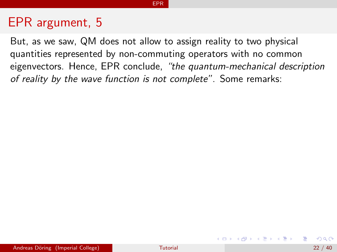#### EPR

## EPR argument, 5

But, as we saw, QM does not allow to assign reality to two physical quantities represented by non-commuting operators with no common eigenvectors. Hence, EPR conclude, "the quantum-mechanical description of reality by the wave function is not complete". Some remarks:

**K ロ ▶ | K 母 ▶ | K ヨ ▶ | K ヨ ▶ |**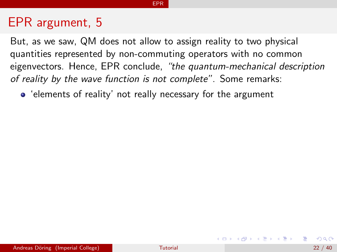But, as we saw, QM does not allow to assign reality to two physical quantities represented by non-commuting operators with no common eigenvectors. Hence, EPR conclude, "the quantum-mechanical description of reality by the wave function is not complete". Some remarks:

EPR

'elements of reality' not really necessary for the argument

**K ロ ▶ | K 母 ▶ | K ヨ ▶ | K ヨ ▶ |**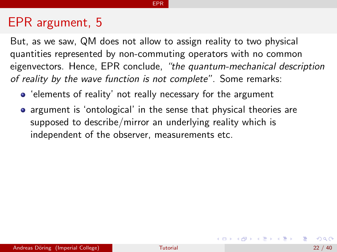But, as we saw, QM does not allow to assign reality to two physical quantities represented by non-commuting operators with no common eigenvectors. Hence, EPR conclude, "the quantum-mechanical description of reality by the wave function is not complete". Some remarks:

EPR

- 'elements of reality' not really necessary for the argument
- argument is 'ontological' in the sense that physical theories are supposed to describe/mirror an underlying reality which is independent of the observer, measurements etc.

イロト イ押 トイヨ トイヨ トー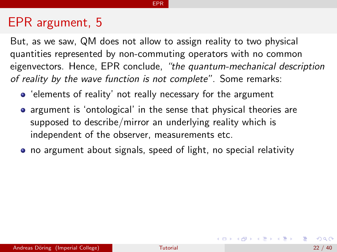But, as we saw, QM does not allow to assign reality to two physical quantities represented by non-commuting operators with no common eigenvectors. Hence, EPR conclude, "the quantum-mechanical description of reality by the wave function is not complete". Some remarks:

- 'elements of reality' not really necessary for the argument
- argument is 'ontological' in the sense that physical theories are supposed to describe/mirror an underlying reality which is independent of the observer, measurements etc.
- no argument about signals, speed of light, no special relativity

KONKAPIK KENYEN E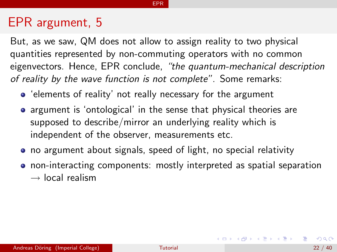But, as we saw, QM does not allow to assign reality to two physical quantities represented by non-commuting operators with no common eigenvectors. Hence, EPR conclude, "the quantum-mechanical description of reality by the wave function is not complete". Some remarks:

- 'elements of reality' not really necessary for the argument
- argument is 'ontological' in the sense that physical theories are supposed to describe/mirror an underlying reality which is independent of the observer, measurements etc.
- no argument about signals, speed of light, no special relativity
- non-interacting components: mostly interpreted as spatial separation  $\rightarrow$  local realism

#### EPR

 $A \cup B \rightarrow A \oplus B \rightarrow A \oplus B \rightarrow A \oplus B \rightarrow B$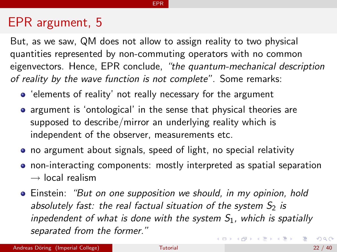But, as we saw, QM does not allow to assign reality to two physical quantities represented by non-commuting operators with no common eigenvectors. Hence, EPR conclude, "the quantum-mechanical description of reality by the wave function is not complete". Some remarks:

EPR

- 'elements of reality' not really necessary for the argument
- argument is 'ontological' in the sense that physical theories are supposed to describe/mirror an underlying reality which is independent of the observer, measurements etc.
- no argument about signals, speed of light, no special relativity
- non-interacting components: mostly interpreted as spatial separation  $\rightarrow$  local realism
- Einstein: "But on one supposition we should, in my opinion, hold absolutely fast: the real factual situation of the system  $S<sub>2</sub>$  is inpedendent of what is done with the system  $S_1$ , which is spatially separated from the former." イロメ イ部メ イ君メ イ君メー 画  $QQ$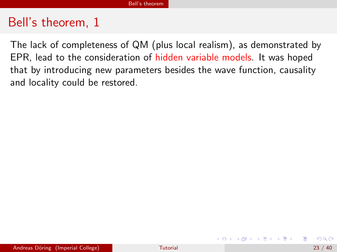The lack of completeness of QM (plus local realism), as demonstrated by EPR, lead to the consideration of hidden variable models. It was hoped that by introducing new parameters besides the wave function, causality and locality could be restored.

→ 何 ▶ → ヨ ▶ → ヨ ▶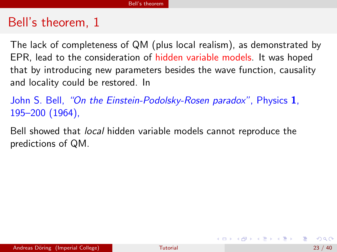The lack of completeness of QM (plus local realism), as demonstrated by EPR, lead to the consideration of hidden variable models. It was hoped that by introducing new parameters besides the wave function, causality and locality could be restored. In

John S. Bell, "On the Einstein-Podolsky-Rosen paradox", Physics 1, 195–200 (1964),

Bell showed that local hidden variable models cannot reproduce the predictions of QM.

K ロ ▶ K 個 ▶ K 君 ▶ K 君 ▶ ...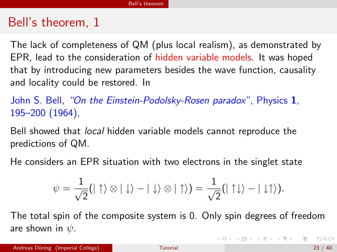The lack of completeness of QM (plus local realism), as demonstrated by EPR, lead to the consideration of hidden variable models. It was hoped that by introducing new parameters besides the wave function, causality and locality could be restored. In

John S. Bell, "On the Einstein-Podolsky-Rosen paradox", Physics 1, 195–200 (1964),

Bell showed that local hidden variable models cannot reproduce the predictions of QM.

He considers an EPR situation with two electrons in the singlet state

$$
\psi = \frac{1}{\sqrt{2}}(|\uparrow\rangle \otimes |\downarrow\rangle - |\downarrow\rangle \otimes |\uparrow\rangle) = \frac{1}{\sqrt{2}}(|\uparrow\downarrow\rangle - |\downarrow\uparrow\rangle).
$$

The total spin of the composite system is 0. Only spin degrees of freedom are shown in  $\psi$ .

K ロ ▶ K @ ▶ K 할 ▶ K 할 ▶ ... 할 → 9 Q @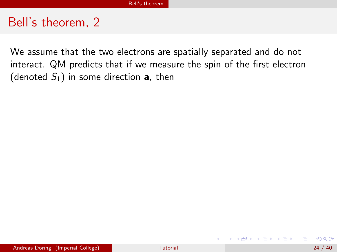We assume that the two electrons are spatially separated and do not interact. QM predicts that if we measure the spin of the first electron (denoted  $S_1$ ) in some direction **a**, then

- 4何 ト 4 ヨ ト 4 ヨ ト

4 D F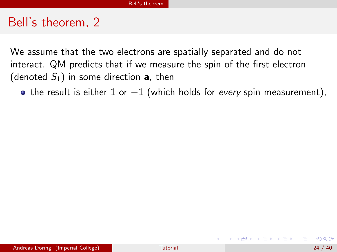We assume that the two electrons are spatially separated and do not interact. QM predicts that if we measure the spin of the first electron (denoted  $S_1$ ) in some direction **a**, then

• the result is either 1 or  $-1$  (which holds for every spin measurement),

→ イ押 ト イヨ ト イヨ ト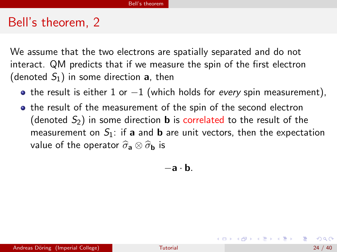We assume that the two electrons are spatially separated and do not interact. QM predicts that if we measure the spin of the first electron (denoted  $S_1$ ) in some direction **a**, then

- the result is either 1 or  $-1$  (which holds for every spin measurement),
- the result of the measurement of the spin of the second electron (denoted  $S_2$ ) in some direction **b** is correlated to the result of the measurement on  $S_1$ : if a and **b** are unit vectors, then the expectation value of the operator  $\hat{\sigma}_a \otimes \hat{\sigma}_b$  is

−a · b.

K ロンス 御 > ス ヨ > ス ヨ > 一 ヨ

 $\Omega$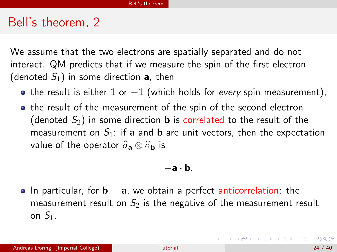We assume that the two electrons are spatially separated and do not interact. QM predicts that if we measure the spin of the first electron (denoted  $S_1$ ) in some direction **a**, then

- the result is either 1 or  $-1$  (which holds for every spin measurement),
- the result of the measurement of the spin of the second electron (denoted  $S_2$ ) in some direction **b** is correlated to the result of the measurement on  $S_1$ : if a and **b** are unit vectors, then the expectation value of the operator  $\hat{\sigma}_a \otimes \hat{\sigma}_b$  is

$$
-\mathbf{a}\cdot\mathbf{b}.
$$

 $\bullet$  In particular, for  $\mathbf{b} = \mathbf{a}$ , we obtain a perfect anticorrelation: the measurement result on  $S_2$  is the negative of the measurement result on  $S_1$ .

イロト イ母 トイミト イミト ニヨー りんぴ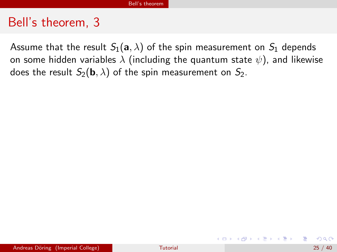Assume that the result  $S_1(a, \lambda)$  of the spin measurement on  $S_1$  depends on some hidden variables  $\lambda$  (including the quantum state  $\psi$ ), and likewise does the result  $S_2(\mathbf{b}, \lambda)$  of the spin measurement on  $S_2$ .

K ロンス 御 > ス ヨ > ス ヨ > 一 ヨ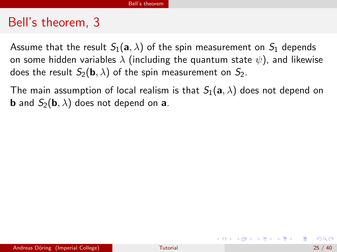Assume that the result  $S_1(a, \lambda)$  of the spin measurement on  $S_1$  depends on some hidden variables  $\lambda$  (including the quantum state  $\psi$ ), and likewise does the result  $S_2(\mathbf{b}, \lambda)$  of the spin measurement on  $S_2$ .

The main assumption of local realism is that  $S_1(a, \lambda)$  does not depend on **b** and  $S_2(\mathbf{b}, \lambda)$  does not depend on **a**.

K ロ ▶ K 個 ▶ K 로 ▶ K 로 ▶ 『로 』 ◇ Q ⊙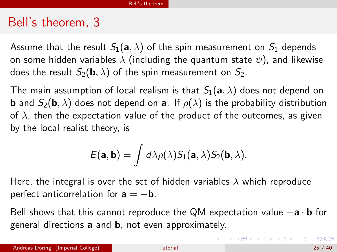Assume that the result  $S_1(a, \lambda)$  of the spin measurement on  $S_1$  depends on some hidden variables  $\lambda$  (including the quantum state  $\psi$ ), and likewise does the result  $S_2(\mathbf{b}, \lambda)$  of the spin measurement on  $S_2$ .

The main assumption of local realism is that  $S_1(a, \lambda)$  does not depend on **b** and  $S_2(\mathbf{b}, \lambda)$  does not depend on **a**. If  $\rho(\lambda)$  is the probability distribution of  $\lambda$ , then the expectation value of the product of the outcomes, as given by the local realist theory, is

$$
E(\mathbf{a},\mathbf{b})=\int d\lambda \rho(\lambda) S_1(\mathbf{a},\lambda) S_2(\mathbf{b},\lambda).
$$

Here, the integral is over the set of hidden variables  $\lambda$  which reproduce perfect anticorrelation for  $a = -b$ .

Bell shows that this cannot reproduce the QM expectation value  $-a \cdot b$  for general directions a and b, not even approximately.

(ロ) (個) (差) (差) (差) のQC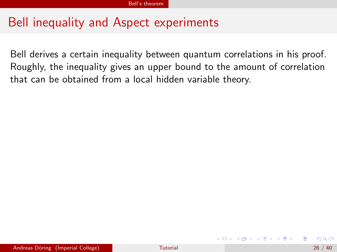# Bell inequality and Aspect experiments

Bell derives a certain inequality between quantum correlations in his proof. Roughly, the inequality gives an upper bound to the amount of correlation that can be obtained from a local hidden variable theory.

→ 御き メ 重 き メ 重 き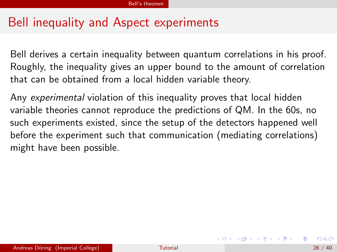# Bell inequality and Aspect experiments

Bell derives a certain inequality between quantum correlations in his proof. Roughly, the inequality gives an upper bound to the amount of correlation that can be obtained from a local hidden variable theory.

Any experimental violation of this inequality proves that local hidden variable theories cannot reproduce the predictions of QM. In the 60s, no such experiments existed, since the setup of the detectors happened well before the experiment such that communication (mediating correlations) might have been possible.

メロメ メ都 メイ君 メメ君 メー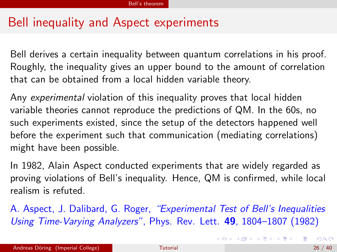# Bell inequality and Aspect experiments

Bell derives a certain inequality between quantum correlations in his proof. Roughly, the inequality gives an upper bound to the amount of correlation that can be obtained from a local hidden variable theory.

Any experimental violation of this inequality proves that local hidden variable theories cannot reproduce the predictions of QM. In the 60s, no such experiments existed, since the setup of the detectors happened well before the experiment such that communication (mediating correlations) might have been possible.

In 1982, Alain Aspect conducted experiments that are widely regarded as proving violations of Bell's inequality. Hence, QM is confirmed, while local realism is refuted.

A. Aspect, J. Dalibard, G. Roger, "Experimental Test of Bell's Inequalities Using Time-Varying Analyzers", Phys. Rev. Lett. 49, 1804–1807 (1982)

K ロ ▶ K 個 ▶ K 로 ▶ K 로 ▶ 『로 』 ◇ Q ⊙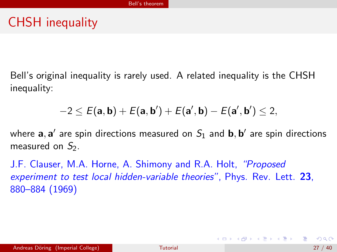Bell's original inequality is rarely used. A related inequality is the CHSH inequality:

$$
-2 \leq E(\mathbf{a},\mathbf{b}) + E(\mathbf{a},\mathbf{b}') + E(\mathbf{a}',\mathbf{b}) - E(\mathbf{a}',\mathbf{b}') \leq 2,
$$

where  $\mathbf{a}, \mathbf{a}'$  are spin directions measured on  $S_1$  and  $\mathbf{b}, \mathbf{b}'$  are spin directions measured on  $S<sub>2</sub>$ .

J.F. Clauser, M.A. Horne, A. Shimony and R.A. Holt, "Proposed experiment to test local hidden-variable theories", Phys. Rev. Lett. 23, 880–884 (1969)

K ロンス 御 > ス ヨ > ス ヨ > 一 ヨ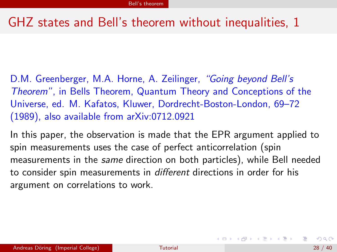# GHZ states and Bell's theorem without inequalities, 1

D.M. Greenberger, M.A. Horne, A. Zeilinger, "Going beyond Bell's Theorem", in Bells Theorem, Quantum Theory and Conceptions of the Universe, ed. M. Kafatos, Kluwer, Dordrecht-Boston-London, 69–72 (1989), also available from arXiv:0712.0921

In this paper, the observation is made that the EPR argument applied to spin measurements uses the case of perfect anticorrelation (spin measurements in the same direction on both particles), while Bell needed to consider spin measurements in different directions in order for his argument on correlations to work.

K ロンス 御 > ス ヨ > ス ヨ > 一 ヨ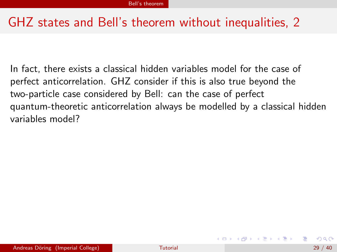# GHZ states and Bell's theorem without inequalities, 2

In fact, there exists a classical hidden variables model for the case of perfect anticorrelation. GHZ consider if this is also true beyond the two-particle case considered by Bell: can the case of perfect quantum-theoretic anticorrelation always be modelled by a classical hidden variables model?

イロメ イ部メ イ君メ イ君メー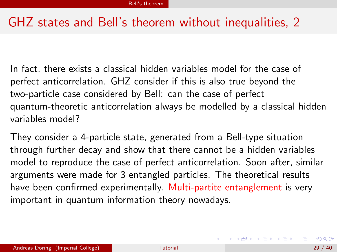# GHZ states and Bell's theorem without inequalities, 2

In fact, there exists a classical hidden variables model for the case of perfect anticorrelation. GHZ consider if this is also true beyond the two-particle case considered by Bell: can the case of perfect quantum-theoretic anticorrelation always be modelled by a classical hidden variables model?

They consider a 4-particle state, generated from a Bell-type situation through further decay and show that there cannot be a hidden variables model to reproduce the case of perfect anticorrelation. Soon after, similar arguments were made for 3 entangled particles. The theoretical results have been confirmed experimentally. Multi-partite entanglement is very important in quantum information theory nowadays.

<span id="page-64-0"></span>イロト 不優 ト 不差 ト 不差 トー 差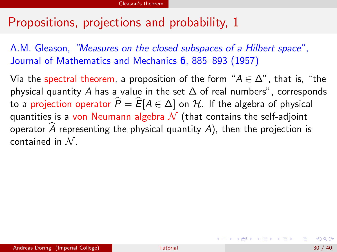A.M. Gleason, "Measures on the closed subspaces of a Hilbert space", Journal of Mathematics and Mechanics 6, 885-893 (1957)

Via the spectral theorem, a proposition of the form " $A \in \Delta$ ", that is, "the physical quantity A has a value in the set  $\Delta$  of real numbers", corresponds to a projection operator  $\widehat{P} = \widehat{E}[A \in \Delta]$  on H. If the algebra of physical quantities is a von Neumann algebra  $\mathcal N$  (that contains the self-adjoint operator  $\hat{A}$  representing the physical quantity  $A$ ), then the projection is contained in  $N$ .

<span id="page-65-0"></span>イロメ イ部メ イ君メ イ君メート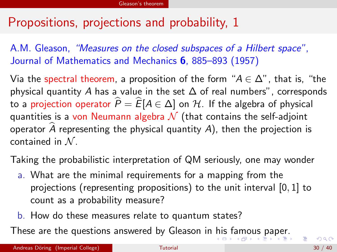A.M. Gleason, "Measures on the closed subspaces of a Hilbert space", Journal of Mathematics and Mechanics 6, 885–893 (1957)

Via the spectral theorem, a proposition of the form " $A \in \Delta$ ", that is, "the physical quantity A has a value in the set  $\Delta$  of real numbers", corresponds to a projection operator  $\hat{P} = \hat{E}[A \in \Delta]$  on H. If the algebra of physical quantities is a von Neumann algebra  $\mathcal N$  (that contains the self-adjoint operator  $\hat{A}$  representing the physical quantity  $A$ ), then the projection is contained in  $N$ .

Taking the probabilistic interpretation of QM seriously, one may wonder

- a. What are the minimal requirements for a mapping from the projections (representing propositions) to the unit interval [0, 1] to count as a probability measure?
- <span id="page-66-0"></span>b. How do these measures relate to quantum states?

These are the questions answered by Gleason in [hi](#page-65-0)s [f](#page-67-0)[a](#page-64-0)[m](#page-65-0)[o](#page-66-0)[u](#page-67-0)[s](#page-64-0)[p](#page-76-0)[a](#page-77-0)[p](#page-64-0)[e](#page-65-0)[r.](#page-76-0)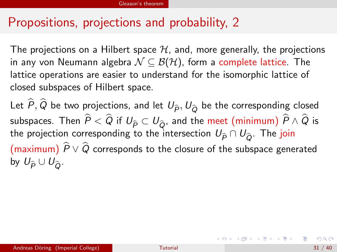The projections on a Hilbert space  $H$ , and, more generally, the projections in any von Neumann algebra  $\mathcal{N} \subseteq \mathcal{B}(\mathcal{H})$ , form a complete lattice. The lattice operations are easier to understand for the isomorphic lattice of closed subspaces of Hilbert space.

Let  $\widehat{P}, \widehat{Q}$  be two projections, and let  $U_{\widehat{P}}, U_{\widehat{Q}}$  be the corresponding closed subspaces. Then  $\widehat{P}<\widehat{Q}$  if  $U_{\widehat{P}}\subset U_{\widehat{Q}}$ , and the meet (minimum)  $\widehat{P}\wedge\widehat{Q}$  is the projection corresponding to the intersection  $U_{\hat{P}} \cap U_{\hat{O}}$ . The join (maximum)  $\hat{P} \vee \hat{Q}$  corresponds to the closure of the subspace generated by  $U_{\widehat{P}} \cup U_{\widehat{Q}}$ .

<span id="page-67-0"></span>イロト イ母 トイミト イミト ニヨー りんぴ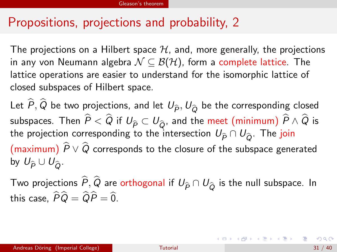The projections on a Hilbert space  $H$ , and, more generally, the projections in any von Neumann algebra  $\mathcal{N} \subseteq \mathcal{B}(\mathcal{H})$ , form a complete lattice. The lattice operations are easier to understand for the isomorphic lattice of closed subspaces of Hilbert space.

Let  $\widehat{P}, \widehat{Q}$  be two projections, and let  $U_{\widehat{P}}, U_{\widehat{Q}}$  be the corresponding closed subspaces. Then  $\widehat{P}<\widehat{Q}$  if  $U_{\widehat{P}}\subset U_{\widehat{Q}}$ , and the meet (minimum)  $\widehat{P}\wedge\widehat{Q}$  is the projection corresponding to the intersection  $U_{\hat{P}} \cap U_{\hat{O}}$ . The join (maximum)  $\widehat{P} \vee \widehat{Q}$  corresponds to the closure of the subspace generated by  $U_{\widehat{D}} \cup U_{\widehat{D}}$ .

Two projections  $\widehat{P}, \widehat{Q}$  are orthogonal if  $U_{\widehat{P}}\cap U_{\widehat{Q}}$  is the null subspace. In this case,  $\widehat{P}\widehat{Q} = \widehat{Q}\widehat{P} = \widehat{0}$ .

<span id="page-68-0"></span>イロト イ母 トイミト イミト ニヨー りんぴ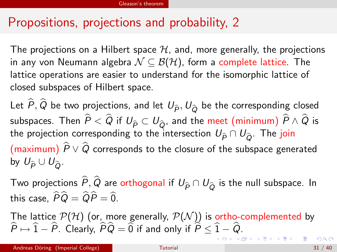The projections on a Hilbert space  $H$ , and, more generally, the projections in any von Neumann algebra  $\mathcal{N} \subseteq \mathcal{B}(\mathcal{H})$ , form a complete lattice. The lattice operations are easier to understand for the isomorphic lattice of closed subspaces of Hilbert space.

Let  $\widehat{P}, \widehat{Q}$  be two projections, and let  $U_{\widehat{P}}, U_{\widehat{Q}}$  be the corresponding closed subspaces. Then  $\widehat{P} < \widehat{Q}$  if  $U_{\widehat{P}} \subset U_{\widehat{Q}}$ , and the meet (minimum)  $\widehat{P} \wedge \widehat{Q}$  is the projection corresponding to the intersection  $U_{\hat{P}} \cap U_{\hat{O}}$ . The join (maximum)  $\hat{P} \vee \hat{Q}$  corresponds to the closure of the subspace generated by  $U_{\widehat{\rho}} \cup U_{\widehat{\rho}}$ .

Two projections  $\widehat{P}, \widehat{Q}$  are orthogonal if  $U_{\widehat{P}} \cap U_{\widehat{Q}}$  is the null subspace. In this case,  $\widehat{P}\widehat{Q} = \widehat{Q}\widehat{P} = \widehat{0}$ .

The lattice  ${\mathcal P}({\mathcal H})$  (or, more generally,  ${\mathcal P}({\mathcal N}))$  is ortho-complemented by  $P\mapsto 1 - P$ . Clearly,  $PQ = 0$  if and only if  $P\leq 1 - Q$ .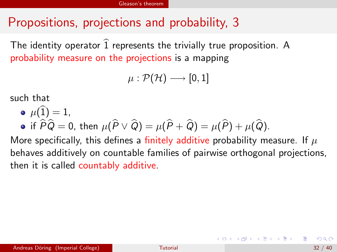The identity operator  $\widehat{1}$  represents the trivially true proposition. A probability measure on the projections is a mapping

$$
\mu:\mathcal{P}(\mathcal{H})\longrightarrow [0,1]
$$

such that

\n- $$
\mu(\widehat{1}) = 1
$$
,
\n- if  $\widehat{P}\widehat{Q} = 0$ , then  $\mu(\widehat{P} \vee \widehat{Q}) = \mu(\widehat{P} + \widehat{Q}) = \mu(\widehat{P}) + \mu(\widehat{Q})$ .
\n

More specifically, this defines a finitely additive probability measure. If  $\mu$ behaves additively on countable families of pairwise orthogonal projections, then it is called countably additive.

<span id="page-70-0"></span>**K ロ ▶ | K 母 ▶ | K ヨ ▶ | K ヨ ▶ |**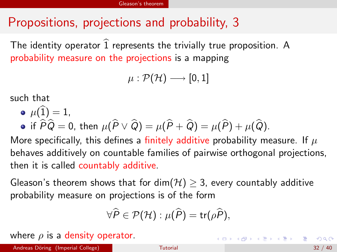The identity operator  $\widehat{1}$  represents the trivially true proposition. A probability measure on the projections is a mapping

$$
\mu: \mathcal{P}(\mathcal{H}) \longrightarrow [0,1]
$$

such that

\n- $$
\mu(\widehat{1}) = 1
$$
,
\n- if  $\widehat{P}\widehat{Q} = 0$ , then  $\mu(\widehat{P} \vee \widehat{Q}) = \mu(\widehat{P} + \widehat{Q}) = \mu(\widehat{P}) + \mu(\widehat{Q})$ .
\n

More specifically, this defines a finitely additive probability measure. If  $\mu$ behaves additively on countable families of pairwise orthogonal projections, then it is called countably additive.

Gleason's theorem shows that for dim( $H$ )  $\geq$  3, every countably additive probability measure on projections is of the form

$$
\forall \widehat{P} \in \mathcal{P}(\mathcal{H}) : \mu(\widehat{P}) = \mathsf{tr}(\rho \widehat{P}),
$$

where  $\rho$  is a density operator.

K ロ ▶ K 個 ▶ K 로 ▶ K 로 ▶ 『로 』 ◇ Q ⊙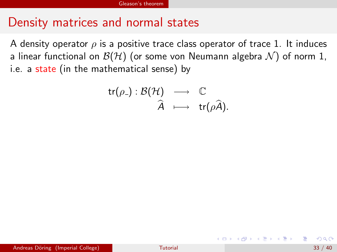#### Density matrices and normal states

A density operator  $\rho$  is a positive trace class operator of trace 1. It induces a linear functional on  $\mathcal{B}(\mathcal{H})$  (or some von Neumann algebra  $\mathcal{N}$ ) of norm 1, i.e. a state (in the mathematical sense) by

$$
\begin{array}{ccc}\n\mathsf{tr}(\rho_{-}): \mathcal{B}(\mathcal{H}) & \longrightarrow & \mathbb{C} \\
\widehat{A} & \longmapsto & \mathsf{tr}(\rho \widehat{A}).\n\end{array}
$$

<span id="page-72-0"></span>メタト メミト メミト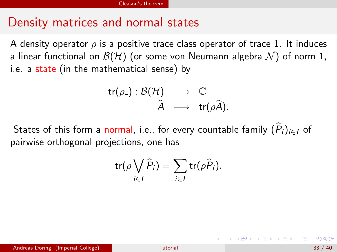#### Density matrices and normal states

A density operator  $\rho$  is a positive trace class operator of trace 1. It induces a linear functional on  $\mathcal{B}(\mathcal{H})$  (or some von Neumann algebra  $\mathcal{N}$ ) of norm 1, i.e. a state (in the mathematical sense) by

$$
\begin{array}{ccc}\n\mathsf{tr}(\rho_{-}): \mathcal{B}(\mathcal{H}) & \longrightarrow & \mathbb{C} \\
\widehat{A} & \longmapsto & \mathsf{tr}(\rho \widehat{A}).\n\end{array}
$$

States of this form a normal, i.e., for every countable family  $(P_i)_{i\in I}$  of pairwise orthogonal projections, one has

$$
\operatorname{tr}(\rho \bigvee_{i \in I} \widehat{P}_i) = \sum_{i \in I} \operatorname{tr}(\rho \widehat{P}_i).
$$

<span id="page-73-0"></span>メタメ メミメ メミメー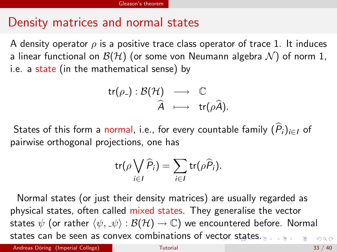#### Density matrices and normal states

A density operator  $\rho$  is a positive trace class operator of trace 1. It induces a linear functional on  $\mathcal{B}(\mathcal{H})$  (or some von Neumann algebra  $\mathcal{N}$ ) of norm 1, i.e. a state (in the mathematical sense) by

$$
\begin{array}{ccc}\n\mathsf{tr}(\rho_{-}): \mathcal{B}(\mathcal{H}) & \longrightarrow & \mathbb{C} \\
\widehat{A} & \longmapsto & \mathsf{tr}(\rho \widehat{A}).\n\end{array}
$$

States of this form a normal, i.e., for every countable family  $(P_i)_{i\in I}$  of pairwise orthogonal projections, one has

$$
\operatorname{tr}(\rho \bigvee_{i \in I} \widehat{P}_i) = \sum_{i \in I} \operatorname{tr}(\rho \widehat{P}_i).
$$

Normal states (or just their density matrices) are usually regarded as physical states, often called mixed states. They generalise the vector states  $\psi$  (or rather  $\langle \psi, \psi \rangle : \mathcal{B}(\mathcal{H}) \to \mathbb{C}$ ) we encountered before. Normal states can be seen as convex combinations of v[ect](#page-73-0)[or](#page-75-0) [s](#page-71-0)[t](#page-72-0)[at](#page-74-0)[e](#page-75-0)[s](#page-64-0)[.](#page-65-0)  $QQ$ 

Andreas Döring (Imperial College) and the College College [Tutorial](#page-0-0) 33 / 40

<span id="page-74-0"></span>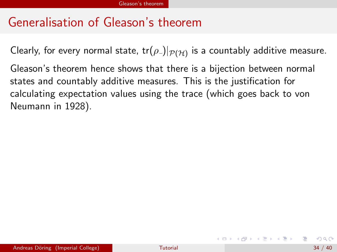# Generalisation of Gleason's theorem

Clearly, for every normal state, tr $(\rho_{\text{-}})|_{\mathcal{P}(\mathcal{H})}$  is a countably additive measure.

Gleason's theorem hence shows that there is a bijection between normal states and countably additive measures. This is the justification for calculating expectation values using the trace (which goes back to von Neumann in 1928).

<span id="page-75-0"></span>K ロ ▶ K 個 ▶ K 君 ▶ K 君 ▶ ...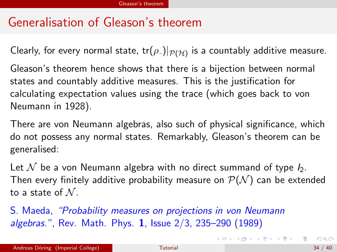# Generalisation of Gleason's theorem

Clearly, for every normal state, tr $(\rho_{\text{-}})|_{\mathcal{P}(\mathcal{H})}$  is a countably additive measure.

Gleason's theorem hence shows that there is a bijection between normal states and countably additive measures. This is the justification for calculating expectation values using the trace (which goes back to von Neumann in 1928).

There are von Neumann algebras, also such of physical significance, which do not possess any normal states. Remarkably, Gleason's theorem can be generalised:

Let N be a von Neumann algebra with no direct summand of type  $I_2$ . Then every finitely additive probability measure on  $\mathcal{P}(\mathcal{N})$  can be extended to a state of  $N$ .

S. Maeda, "Probability measures on projections in von Neumann algebras.", Rev. Math. Phys. 1, Issue 2/3, 235–290 (1989)

<span id="page-76-0"></span>K ロ ▶ K @ ▶ K 할 > K 할 > → 할 → K Q Q Q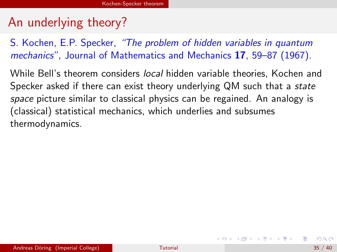## An underlying theory?

S. Kochen, E.P. Specker, "The problem of hidden variables in quantum mechanics", Journal of Mathematics and Mechanics 17, 59–87 (1967).

While Bell's theorem considers *local* hidden variable theories, Kochen and Specker asked if there can exist theory underlying QM such that a *state* space picture similar to classical physics can be regained. An analogy is (classical) statistical mechanics, which underlies and subsumes thermodynamics.

<span id="page-77-0"></span>**K ロ ▶ | K 母 ▶ | K ヨ ▶ | K ヨ ▶ |**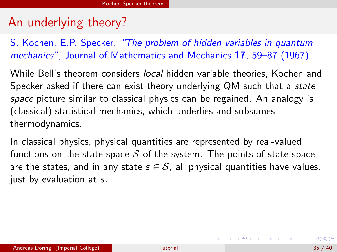## An underlying theory?

S. Kochen, E.P. Specker, "The problem of hidden variables in quantum mechanics", Journal of Mathematics and Mechanics 17, 59–87 (1967).

While Bell's theorem considers *local* hidden variable theories. Kochen and Specker asked if there can exist theory underlying QM such that a *state* space picture similar to classical physics can be regained. An analogy is (classical) statistical mechanics, which underlies and subsumes thermodynamics.

In classical physics, physical quantities are represented by real-valued functions on the state space  $S$  of the system. The points of state space are the states, and in any state  $s \in S$ , all physical quantities have values, just by evaluation at s.

K ロ ▶ K @ ▶ K 할 ▶ K 할 ▶ ( 할 ) 100여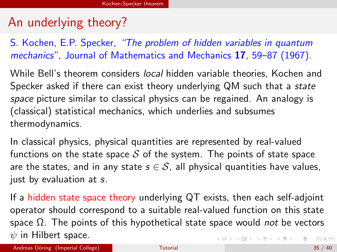# An underlying theory?

S. Kochen, E.P. Specker, "The problem of hidden variables in quantum mechanics", Journal of Mathematics and Mechanics 17, 59–87 (1967).

While Bell's theorem considers *local* hidden variable theories. Kochen and Specker asked if there can exist theory underlying QM such that a *state* space picture similar to classical physics can be regained. An analogy is (classical) statistical mechanics, which underlies and subsumes thermodynamics.

In classical physics, physical quantities are represented by real-valued functions on the state space  $S$  of the system. The points of state space are the states, and in any state  $s \in S$ , all physical quantities have values, just by evaluation at s.

If a hidden state space theory underlying QT exists, then each self-adjoint operator should correspond to a suitable real-valued function on this state space  $Ω$ . The points of this hypothetical state space would *not* be vectors  $\psi$  in Hilbert space. K ロ ▶ K 個 ▶ K 로 ▶ K 로 ▶ 『로 『 YO Q @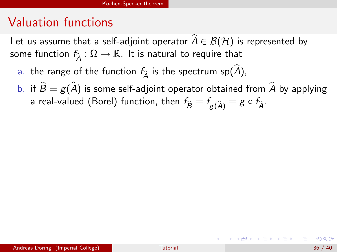#### Valuation functions

Let us assume that a self-adjoint operator  $\hat{A} \in \mathcal{B}(\mathcal{H})$  is represented by some function  $f_{\hat{a}} : \Omega \to \mathbb{R}$ . It is natural to require that

- a. the range of the function  $f_{\hat{\lambda}}$  is the spectrum sp( $\hat{A}$ ),
- b. if  $\hat{B} = g(\hat{A})$  is some self-adjoint operator obtained from  $\hat{A}$  by applying a real-valued (Borel) function, then  $f_{\widehat{B}} = f_{g(\widehat{A})} = g \circ f_{\widehat{A}}$ .

K ロ > K @ > K 경 > K 경 > X 경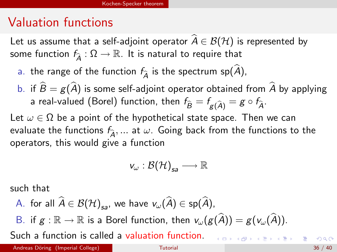#### Valuation functions

Let us assume that a self-adjoint operator  $\widehat{A} \in \mathcal{B}(\mathcal{H})$  is represented by some function  $f_{\hat{a}} : \Omega \to \mathbb{R}$ . It is natural to require that

- a. the range of the function  $f_{\widehat{A}}$  is the spectrum sp( $\widehat{A}$ ),
- b. if  $\widehat{B} = g(\widehat{A})$  is some self-adjoint operator obtained from  $\widehat{A}$  by applying a real-valued (Borel) function, then  $f_{\widehat{B}} = f_{g(\widehat{A})} = g \circ f_{\widehat{A}}$ .

Let  $\omega \in \Omega$  be a point of the hypothetical state space. Then we can evaluate the functions  $f_{\hat{\lambda}}, \dots$  at  $\omega$ . Going back from the functions to the operators, this would give a function

$$
v_\omega: \mathcal{B}(\mathcal{H})_{sa} \longrightarrow \mathbb{R}
$$

such that

A. for all  $A \in \mathcal{B(H)}_{sa}$ , we have  $v_{\omega}(A) \in sp(A)$ ,

B. if  $g : \mathbb{R} \to \mathbb{R}$  is a Borel function, then  $v_{\omega}(g(\widehat{A})) = g(v_{\omega}(\widehat{A})).$ 

Such a function is called a valuation function.

<span id="page-81-0"></span>K ロ ▶ K @ ▶ K 경 ▶ K 경 ▶ X 경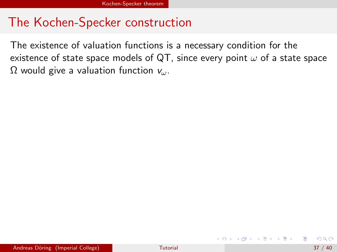## The Kochen-Specker construction

The existence of valuation functions is a necessary condition for the existence of state space models of QT, since every point  $\omega$  of a state space  $\Omega$  would give a valuation function  $v_{\omega}$ .

<span id="page-82-0"></span> $\mathbf{A} \oplus \mathbf{B}$   $\mathbf{A} \oplus \mathbf{B}$   $\mathbf{A} \oplus \mathbf{B}$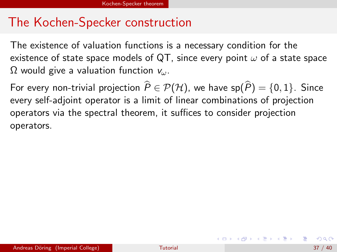## The Kochen-Specker construction

The existence of valuation functions is a necessary condition for the existence of state space models of QT, since every point  $\omega$  of a state space  $\Omega$  would give a valuation function  $v_{\omega}$ .

For every non-trivial projection  $\widehat{P} \in \mathcal{P}(\mathcal{H})$ , we have sp $(\widehat{P}) = \{0, 1\}$ . Since every self-adjoint operator is a limit of linear combinations of projection operators via the spectral theorem, it suffices to consider projection operators.

<span id="page-83-0"></span>イロメ イ部メ イ君メ イ君メート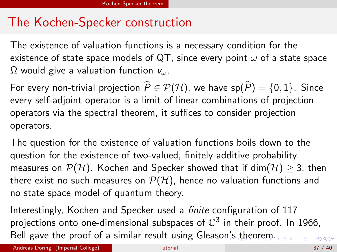# The Kochen-Specker construction

The existence of valuation functions is a necessary condition for the existence of state space models of QT, since every point  $\omega$  of a state space  $\Omega$  would give a valuation function  $v_{\omega}$ .

For every non-trivial projection  $\widehat{P} \in \mathcal{P}(\mathcal{H})$ , we have sp $(\widehat{P}) = \{0, 1\}$ . Since every self-adjoint operator is a limit of linear combinations of projection operators via the spectral theorem, it suffices to consider projection operators.

The question for the existence of valuation functions boils down to the question for the existence of two-valued, finitely additive probability measures on  $P(H)$ . Kochen and Specker showed that if dim( $H$ )  $\geq$  3, then there exist no such measures on  $P(H)$ , hence no valuation functions and no state space model of quantum theory.

<span id="page-84-0"></span>Interestingly, Kochen and Specker used a finite configuration of 117 projections onto one-dimensional subspaces of  $\mathbb{C}^3$  in their proof. In 1966, Bell gave the proof of a similar result using Gle[aso](#page-83-0)[n's](#page-85-0)[t](#page-82-0)[h](#page-84-0)[e](#page-77-0)[or](#page-76-0)e[m.](#page-89-0)  $QQ$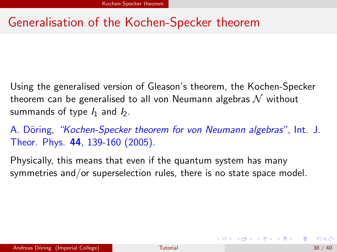# Generalisation of the Kochen-Specker theorem

Using the generalised version of Gleason's theorem, the Kochen-Specker theorem can be generalised to all von Neumann algebras  $\mathcal N$  without summands of type  $I_1$  and  $I_2$ .

A. Döring, "Kochen-Specker theorem for von Neumann algebras", Int. J. Theor. Phys. 44, 139-160 (2005).

Physically, this means that even if the quantum system has many symmetries and/or superselection rules, there is no state space model.

<span id="page-85-0"></span>**イロト イ何ト イヨト イヨト**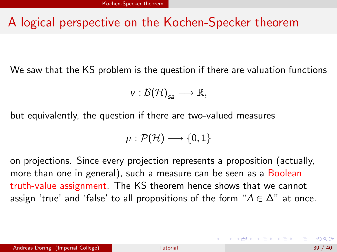## A logical perspective on the Kochen-Specker theorem

We saw that the KS problem is the question if there are valuation functions

$$
v:\mathcal{B}(\mathcal{H})_{sa}\longrightarrow \mathbb{R},
$$

but equivalently, the question if there are two-valued measures

$$
\mu:\mathcal{P}(\mathcal{H})\longrightarrow\{0,1\}
$$

on projections. Since every projection represents a proposition (actually, more than one in general), such a measure can be seen as a Boolean truth-value assignment. The KS theorem hence shows that we cannot assign 'true' and 'false' to all propositions of the form " $A \in \Delta$ " at once.

**K ロ ▶ | K 母 ▶ | K ヨ ▶ | K ヨ ▶ |**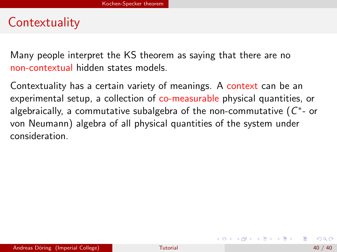## **Contextuality**

Many people interpret the KS theorem as saying that there are no non-contextual hidden states models.

Contextuality has a certain variety of meanings. A context can be an experimental setup, a collection of co-measurable physical quantities, or algebraically, a commutative subalgebra of the non-commutative (  $C^{\ast}$ - or von Neumann) algebra of all physical quantities of the system under consideration.

イロメ イ部メ イ君メ イ君メー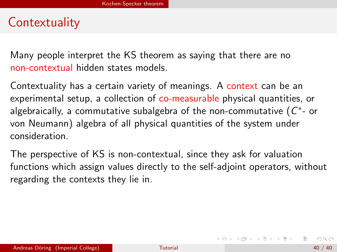## **Contextuality**

Many people interpret the KS theorem as saying that there are no non-contextual hidden states models.

Contextuality has a certain variety of meanings. A context can be an experimental setup, a collection of co-measurable physical quantities, or algebraically, a commutative subalgebra of the non-commutative (  $C^{\ast}$ - or von Neumann) algebra of all physical quantities of the system under consideration.

The perspective of KS is non-contextual, since they ask for valuation functions which assign values directly to the self-adjoint operators, without regarding the contexts they lie in.

イロメ イ部メ イ君メ イ君メー